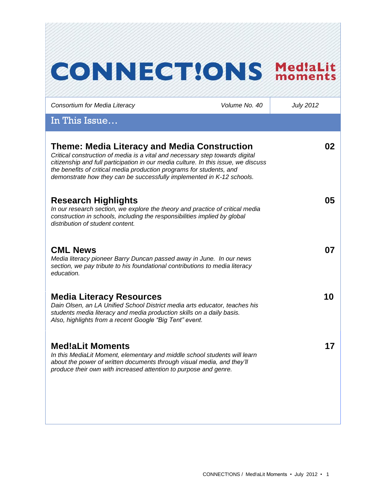| <b>CONNECT!ONS</b>                                                                                                                                                                                                                                                                                                                                                  |               | moments          |
|---------------------------------------------------------------------------------------------------------------------------------------------------------------------------------------------------------------------------------------------------------------------------------------------------------------------------------------------------------------------|---------------|------------------|
| Consortium for Media Literacy                                                                                                                                                                                                                                                                                                                                       | Volume No. 40 | <b>July 2012</b> |
| In This Issue                                                                                                                                                                                                                                                                                                                                                       |               |                  |
| Theme: Media Literacy and Media Construction<br>Critical construction of media is a vital and necessary step towards digital<br>citizenship and full participation in our media culture. In this issue, we discuss<br>the benefits of critical media production programs for students, and<br>demonstrate how they can be successfully implemented in K-12 schools. |               | 02               |
| <b>Research Highlights</b><br>In our research section, we explore the theory and practice of critical media<br>construction in schools, including the responsibilities implied by global<br>distribution of student content.                                                                                                                                        |               | 05               |
| <b>CML News</b><br>Media literacy pioneer Barry Duncan passed away in June. In our news<br>section, we pay tribute to his foundational contributions to media literacy<br>education.                                                                                                                                                                                |               | 07               |
| <b>Media Literacy Resources</b><br>Dain Olsen, an LA Unified School District media arts educator, teaches his<br>students media literacy and media production skills on a daily basis.<br>Also, highlights from a recent Google "Big Tent" event.                                                                                                                   |               | 10               |
| <b>Med!aLit Moments</b><br>In this MediaLit Moment, elementary and middle school students will learn<br>about the power of written documents through visual media, and they'll<br>produce their own with increased attention to purpose and genre.                                                                                                                  |               | 17               |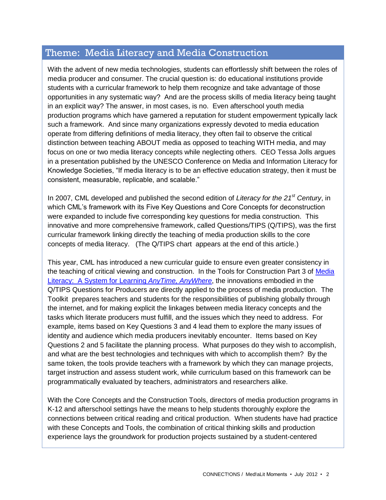# Theme: Media Literacy and Media Construction

With the advent of new media technologies, students can effortlessly shift between the roles of media producer and consumer. The crucial question is: do educational institutions provide students with a curricular framework to help them recognize and take advantage of those opportunities in any systematic way? And are the process skills of media literacy being taught in an explicit way? The answer, in most cases, is no. Even afterschool youth media production programs which have garnered a reputation for student empowerment typically lack such a framework. And since many organizations expressly devoted to media education operate from differing definitions of media literacy, they often fail to observe the critical distinction between teaching ABOUT media as opposed to teaching WITH media, and may focus on one or two media literacy concepts while neglecting others. CEO Tessa Jolls argues in a presentation published by the UNESCO Conference on Media and Information Literacy for Knowledge Societies, "If media literacy is to be an effective education strategy, then it must be consistent, measurable, replicable, and scalable."

In 2007, CML developed and published the second edition of *Literacy for the 21st Century*, in which CML's framework with its Five Key Questions and Core Concepts for deconstruction were expanded to include five corresponding key questions for media construction. This innovative and more comprehensive framework, called Questions/TIPS (Q/TIPS), was the first curricular framework linking directly the teaching of media production skills to the core concepts of media literacy. (The Q/TIPS chart appears at the end of this article.)

This year, CML has introduced a new curricular guide to ensure even greater consistency in the teaching of critical viewing and construction. In the Tools for Construction Part 3 of [Media](http://www.medialit.org/)  [Literacy: A System for Learning](http://www.medialit.org/) *AnyTime, AnyWhere*, the innovations embodied in the Q/TIPS Questions for Producers are directly applied to the process of media production. The Toolkit prepares teachers and students for the responsibilities of publishing globally through the internet, and for making explicit the linkages between media literacy concepts and the tasks which literate producers must fulfill, and the issues which they need to address. For example, items based on Key Questions 3 and 4 lead them to explore the many issues of identity and audience which media producers inevitably encounter. Items based on Key Questions 2 and 5 facilitate the planning process. What purposes do they wish to accomplish, and what are the best technologies and techniques with which to accomplish them? By the same token, the tools provide teachers with a framework by which they can manage projects, target instruction and assess student work, while curriculum based on this framework can be programmatically evaluated by teachers, administrators and researchers alike.

With the Core Concepts and the Construction Tools, directors of media production programs in K-12 and afterschool settings have the means to help students thoroughly explore the connections between critical reading and critical production. When students have had practice with these Concepts and Tools, the combination of critical thinking skills and production experience lays the groundwork for production projects sustained by a student-centered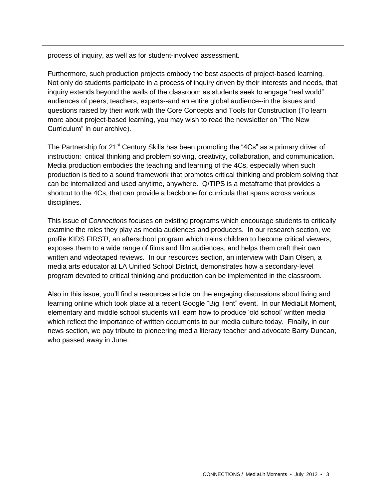process of inquiry, as well as for student-involved assessment.

Furthermore, such production projects embody the best aspects of project-based learning. Not only do students participate in a process of inquiry driven by their interests and needs, that inquiry extends beyond the walls of the classroom as students seek to engage "real world" audiences of peers, teachers, experts--and an entire global audience--in the issues and questions raised by their work with the Core Concepts and Tools for Construction (To learn more about project-based learning, you may wish to read the newsletter on "The New Curriculum" in our archive).

The Partnership for 21<sup>st</sup> Century Skills has been promoting the "4Cs" as a primary driver of instruction: critical thinking and problem solving, creativity, collaboration, and communication. Media production embodies the teaching and learning of the 4Cs, especially when such production is tied to a sound framework that promotes critical thinking and problem solving that can be internalized and used anytime, anywhere. Q/TIPS is a metaframe that provides a shortcut to the 4Cs, that can provide a backbone for curricula that spans across various disciplines.

This issue of *Connections* focuses on existing programs which encourage students to critically examine the roles they play as media audiences and producers. In our research section, we profile KIDS FIRST!, an afterschool program which trains children to become critical viewers, exposes them to a wide range of films and film audiences, and helps them craft their own written and videotaped reviews. In our resources section, an interview with Dain Olsen, a media arts educator at LA Unified School District, demonstrates how a secondary-level program devoted to critical thinking and production can be implemented in the classroom.

Also in this issue, you'll find a resources article on the engaging discussions about living and learning online which took place at a recent Google "Big Tent" event. In our MediaLit Moment, elementary and middle school students will learn how to produce 'old school' written media which reflect the importance of written documents to our media culture today. Finally, in our news section, we pay tribute to pioneering media literacy teacher and advocate Barry Duncan, who passed away in June.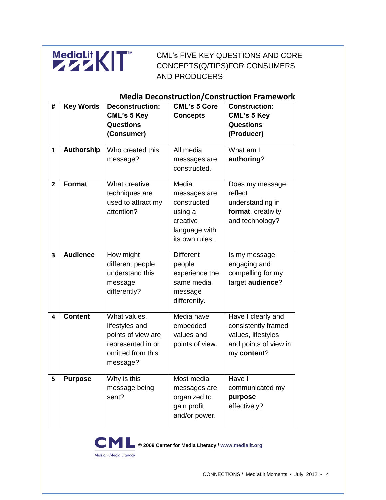

CML's FIVE KEY QUESTIONS AND CORE CONCEPTS(Q/TIPS)FOR CONSUMERS AND PRODUCERS

## **Media Deconstruction/Construction Framework**

| #                       | <b>Key Words</b> | <b>Deconstruction:</b><br><b>CML's 5 Key</b><br><b>Questions</b><br>(Consumer)                             | <b>CML's 5 Core</b><br><b>Concepts</b>                                                         | <b>Construction:</b><br><b>CML's 5 Key</b><br><b>Questions</b><br>(Producer)                            |
|-------------------------|------------------|------------------------------------------------------------------------------------------------------------|------------------------------------------------------------------------------------------------|---------------------------------------------------------------------------------------------------------|
| $\mathbf{1}$            | Authorship       | Who created this<br>message?                                                                               | All media<br>messages are<br>constructed.                                                      | What am I<br>authoring?                                                                                 |
| $\overline{2}$          | <b>Format</b>    | What creative<br>techniques are<br>used to attract my<br>attention?                                        | Media<br>messages are<br>constructed<br>using a<br>creative<br>language with<br>its own rules. | Does my message<br>reflect<br>understanding in<br>format, creativity<br>and technology?                 |
| $\overline{\mathbf{3}}$ | <b>Audience</b>  | How might<br>different people<br>understand this<br>message<br>differently?                                | <b>Different</b><br>people<br>experience the<br>same media<br>message<br>differently.          | Is my message<br>engaging and<br>compelling for my<br>target audience?                                  |
| 4                       | <b>Content</b>   | What values,<br>lifestyles and<br>points of view are<br>represented in or<br>omitted from this<br>message? | Media have<br>embedded<br>values and<br>points of view.                                        | Have I clearly and<br>consistently framed<br>values, lifestyles<br>and points of view in<br>my content? |
| 5                       | <b>Purpose</b>   | Why is this<br>message being<br>sent?                                                                      | Most media<br>messages are<br>organized to<br>gain profit<br>and/or power.                     | Have I<br>communicated my<br>purpose<br>effectively?                                                    |



**© 2009 Center for Media Literacy / www.medialit.org**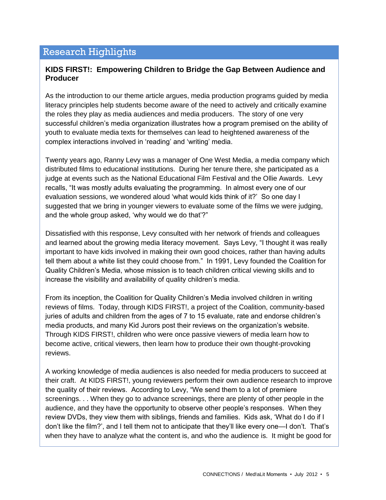## Research Highlights

#### **KIDS FIRST!: Empowering Children to Bridge the Gap Between Audience and Producer**

As the introduction to our theme article argues, media production programs guided by media literacy principles help students become aware of the need to actively and critically examine the roles they play as media audiences and media producers. The story of one very successful children's media organization illustrates how a program premised on the ability of youth to evaluate media texts for themselves can lead to heightened awareness of the complex interactions involved in 'reading' and 'writing' media.

Twenty years ago, Ranny Levy was a manager of One West Media, a media company which distributed films to educational institutions. During her tenure there, she participated as a judge at events such as the National Educational Film Festival and the Ollie Awards. Levy recalls, "It was mostly adults evaluating the programming. In almost every one of our evaluation sessions, we wondered aloud 'what would kids think of it?' So one day I suggested that we bring in younger viewers to evaluate some of the films we were judging, and the whole group asked, 'why would we do that'?"

Dissatisfied with this response, Levy consulted with her network of friends and colleagues and learned about the growing media literacy movement. Says Levy, "I thought it was really important to have kids involved in making their own good choices, rather than having adults tell them about a white list they could choose from." In 1991, Levy founded the Coalition for Quality Children's Media, whose mission is to teach children critical viewing skills and to increase the visibility and availability of quality children's media.

From its inception, the Coalition for Quality Children's Media involved children in writing reviews of films. Today, through KIDS FIRST!, a project of the Coalition, community-based juries of adults and children from the ages of 7 to 15 evaluate, rate and endorse children's media products, and many Kid Jurors post their reviews on the organization's website. Through KIDS FIRST!, children who were once passive viewers of media learn how to become active, critical viewers, then learn how to produce their own thought-provoking reviews.

A working knowledge of media audiences is also needed for media producers to succeed at their craft. At KIDS FIRST!, young reviewers perform their own audience research to improve the quality of their reviews. According to Levy, "We send them to a lot of premiere screenings. . . When they go to advance screenings, there are plenty of other people in the audience, and they have the opportunity to observe other people's responses. When they review DVDs, they view them with siblings, friends and families. Kids ask, 'What do I do if I don't like the film?', and I tell them not to anticipate that they'll like every one—I don't. That's when they have to analyze what the content is, and who the audience is. It might be good for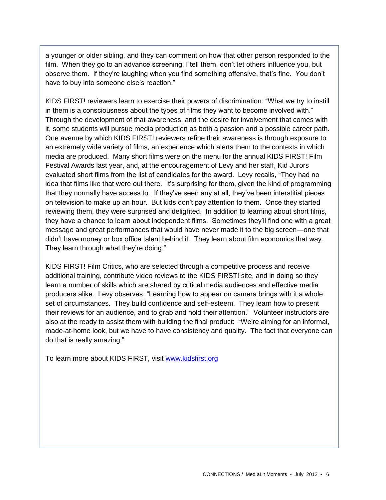a younger or older sibling, and they can comment on how that other person responded to the film. When they go to an advance screening, I tell them, don't let others influence you, but observe them. If they're laughing when you find something offensive, that's fine. You don't have to buy into someone else's reaction."

KIDS FIRST! reviewers learn to exercise their powers of discrimination: "What we try to instill in them is a consciousness about the types of films they want to become involved with." Through the development of that awareness, and the desire for involvement that comes with it, some students will pursue media production as both a passion and a possible career path. One avenue by which KIDS FIRST! reviewers refine their awareness is through exposure to an extremely wide variety of films, an experience which alerts them to the contexts in which media are produced. Many short films were on the menu for the annual KIDS FIRST! Film Festival Awards last year, and, at the encouragement of Levy and her staff, Kid Jurors evaluated short films from the list of candidates for the award. Levy recalls, "They had no idea that films like that were out there. It's surprising for them, given the kind of programming that they normally have access to. If they've seen any at all, they've been interstitial pieces on television to make up an hour. But kids don't pay attention to them. Once they started reviewing them, they were surprised and delighted. In addition to learning about short films, they have a chance to learn about independent films. Sometimes they'll find one with a great message and great performances that would have never made it to the big screen—one that didn't have money or box office talent behind it. They learn about film economics that way. They learn through what they're doing."

KIDS FIRST! Film Critics, who are selected through a competitive process and receive additional training, contribute video reviews to the KIDS FIRST! site, and in doing so they learn a number of skills which are shared by critical media audiences and effective media producers alike. Levy observes, "Learning how to appear on camera brings with it a whole set of circumstances. They build confidence and self-esteem. They learn how to present their reviews for an audience, and to grab and hold their attention." Volunteer instructors are also at the ready to assist them with building the final product: "We're aiming for an informal, made-at-home look, but we have to have consistency and quality. The fact that everyone can do that is really amazing."

To learn more about KIDS FIRST, visit [www.kidsfirst.org](http://www.kidsfirst.org/)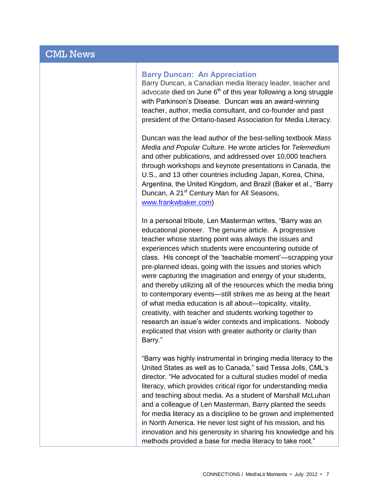# CML News

#### **Barry Duncan: An Appreciation**

Barry Duncan, a Canadian media literacy leader, teacher and advocate died on June  $6<sup>th</sup>$  of this year following a long struggle with Parkinson's Disease. Duncan was an award-winning teacher, author, media consultant, and co-founder and past president of the Ontario-based Association for Media Literacy.

Duncan was the lead author of the best-selling textbook *Mass Media and Popular Culture.* He wrote articles for *Telemedium* and other publications, and addressed over 10,000 teachers through workshops and keynote presentations in Canada, the U.S., and 13 other countries including Japan, Korea, China, Argentina, the United Kingdom, and Brazil (Baker et al., "Barry Duncan, A 21<sup>st</sup> Century Man for All Seasons, [www.frankwbaker.com\)](http://www.frankwbaker.com/)

In a personal tribute, Len Masterman writes, "Barry was an educational pioneer. The genuine article. A progressive teacher whose starting point was always the issues and experiences which students were encountering outside of class. His concept of the 'teachable moment'—scrapping your pre-planned ideas, going with the issues and stories which were capturing the imagination and energy of your students, and thereby utilizing all of the resources which the media bring to contemporary events—still strikes me as being at the heart of what media education is all about—topicality, vitality, creativity, with teacher and students working together to research an issue's wider contexts and implications. Nobody explicated that vision with greater authority or clarity than Barry."

"Barry was highly instrumental in bringing media literacy to the United States as well as to Canada," said Tessa Jolls, CML's director. "He advocated for a cultural studies model of media literacy, which provides critical rigor for understanding media and teaching about media. As a student of Marshall McLuhan and a colleague of Len Masterman, Barry planted the seeds for media literacy as a discipline to be grown and implemented in North America. He never lost sight of his mission, and his innovation and his generosity in sharing his knowledge and his methods provided a base for media literacy to take root."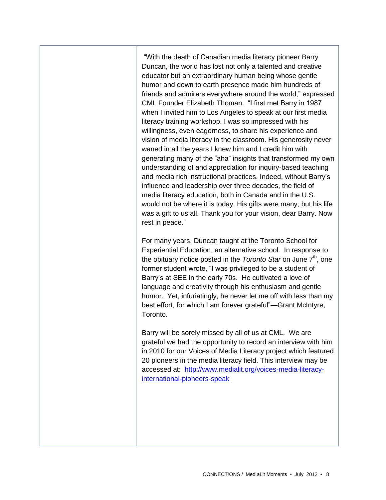"With the death of Canadian media literacy pioneer Barry Duncan, the world has lost not only a talented and creative educator but an extraordinary human being whose gentle humor and down to earth presence made him hundreds of friends and admirers everywhere around the world," expressed CML Founder Elizabeth Thoman. "I first met Barry in 1987 when I invited him to Los Angeles to speak at our first media literacy training workshop. I was so impressed with his willingness, even eagerness, to share his experience and vision of media literacy in the classroom. His generosity never waned in all the years I knew him and I credit him with generating many of the "aha" insights that transformed my own understanding of and appreciation for inquiry-based teaching and media rich instructional practices. Indeed, without Barry's influence and leadership over three decades, the field of media literacy education, both in Canada and in the U.S. would not be where it is today. His gifts were many; but his life was a gift to us all. Thank you for your vision, dear Barry. Now rest in peace."

For many years, Duncan taught at the Toronto School for Experiential Education, an alternative school. In response to the obituary notice posted in the *Toronto Star* on June 7<sup>th</sup>, one former student wrote, "I was privileged to be a student of Barry's at SEE in the early 70s. He cultivated a love of language and creativity through his enthusiasm and gentle humor. Yet, infuriatingly, he never let me off with less than my best effort, for which I am forever grateful"—Grant McIntyre, Toronto.

Barry will be sorely missed by all of us at CML. We are grateful we had the opportunity to record an interview with him in 2010 for our Voices of Media Literacy project which featured 20 pioneers in the media literacy field. This interview may be accessed at: [http://www.medialit.org/voices-media-literacy](http://www.medialit.org/voices-media-literacy-international-pioneers-speak)[international-pioneers-speak](http://www.medialit.org/voices-media-literacy-international-pioneers-speak)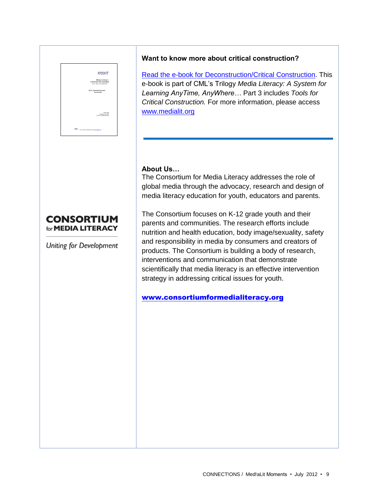# **MediaWIZIT** Tessa Jolla<br>President and CEO<br>miter for Media Literacy

## **CONSORTIUM** for **MEDIA LITERACY**

Uniting for Development

#### **Want to know more about critical construction?**

[Read the e-book for Deconstruction/Critical Construction.](http://www.medialit.org/reading-room/media-literacy-system-learning-anytime-anywhere-part-2-deconstructionconstruction) This e-book is part of CML's Trilogy *Media Literacy: A System for Learning AnyTime, AnyWhere…* Part 3 includes *Tools for Critical Construction.* For more information, please access [www.medialit.org](http://www.medialit.org/)

#### **About Us…**

The Consortium for Media Literacy addresses the role of global media through the advocacy, research and design of media literacy education for youth, educators and parents.

The Consortium focuses on K-12 grade youth and their parents and communities. The research efforts include nutrition and health education, body image/sexuality, safety and responsibility in media by consumers and creators of products. The Consortium is building a body of research, interventions and communication that demonstrate scientifically that media literacy is an effective intervention strategy in addressing critical issues for youth.

[www.consortiumformedialiteracy.org](http://www.consortiumformedialiteracy.org/)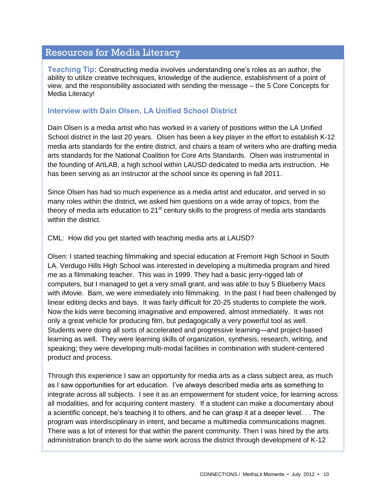## Resources for Media Literacy

**Teaching Tip:** Constructing media involves understanding one's roles as an author, the ability to utilize creative techniques, knowledge of the audience, establishment of a point of view, and the responsibility associated with sending the message – the 5 Core Concepts for Media Literacy!

#### **Interview with Dain Olsen, LA Unified School District**

Dain Olsen is a media artist who has worked in a variety of positions within the LA Unified School district in the last 20 years. Olsen has been a key player in the effort to establish K-12 media arts standards for the entire district, and chairs a team of writers who are drafting media arts standards for the National Coalition for Core Arts Standards. Olsen was instrumental in the founding of ArtLAB, a high school within LAUSD dedicated to media arts instruction. He has been serving as an instructor at the school since its opening in fall 2011.

Since Olsen has had so much experience as a media artist and educator, and served in so many roles within the district, we asked him questions on a wide array of topics, from the theory of media arts education to  $21<sup>st</sup>$  century skills to the progress of media arts standards within the district.

CML: How did you get started with teaching media arts at LAUSD?

Olsen: I started teaching filmmaking and special education at Fremont High School in South LA. Verdugo Hills High School was interested in developing a multimedia program and hired me as a filmmaking teacher. This was in 1999. They had a basic jerry-rigged lab of computers, but I managed to get a very small grant, and was able to buy 5 Blueberry Macs with iMovie. Bam, we were immediately into filmmaking. In the past I had been challenged by linear editing decks and bays. It was fairly difficult for 20-25 students to complete the work. Now the kids were becoming imaginative and empowered, almost immediately. It was not only a great vehicle for producing film, but pedagogically a very powerful tool as well. Students were doing all sorts of accelerated and progressive learning—and project-based learning as well. They were learning skills of organization, synthesis, research, writing, and speaking; they were developing multi-modal facilities in combination with student-centered product and process.

Through this experience I saw an opportunity for media arts as a class subject area, as much as I saw opportunities for art education. I've always described media arts as something to integrate across all subjects. I see it as an empowerment for student voice, for learning across all modalities, and for acquiring content mastery. If a student can make a documentary about a scientific concept, he's teaching it to others, and he can grasp it at a deeper level. . . The program was interdisciplinary in intent, and became a multimedia communications magnet. There was a lot of interest for that within the parent community. Then I was hired by the arts administration branch to do the same work across the district through development of K-12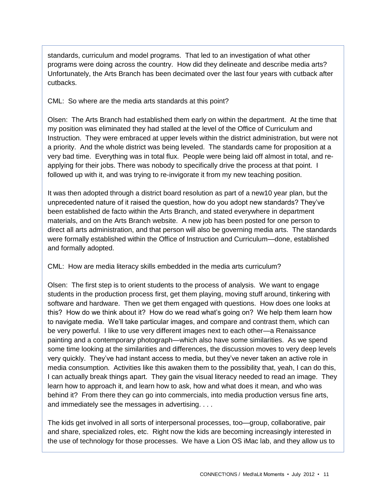standards, curriculum and model programs. That led to an investigation of what other programs were doing across the country. How did they delineate and describe media arts? Unfortunately, the Arts Branch has been decimated over the last four years with cutback after cutbacks.

CML: So where are the media arts standards at this point?

Olsen: The Arts Branch had established them early on within the department. At the time that my position was eliminated they had stalled at the level of the Office of Curriculum and Instruction. They were embraced at upper levels within the district administration, but were not a priority. And the whole district was being leveled. The standards came for proposition at a very bad time. Everything was in total flux. People were being laid off almost in total, and reapplying for their jobs. There was nobody to specifically drive the process at that point. I followed up with it, and was trying to re-invigorate it from my new teaching position.

It was then adopted through a district board resolution as part of a new10 year plan, but the unprecedented nature of it raised the question, how do you adopt new standards? They've been established de facto within the Arts Branch, and stated everywhere in department materials, and on the Arts Branch website. A new job has been posted for one person to direct all arts administration, and that person will also be governing media arts. The standards were formally established within the Office of Instruction and Curriculum—done, established and formally adopted.

CML: How are media literacy skills embedded in the media arts curriculum?

Olsen: The first step is to orient students to the process of analysis. We want to engage students in the production process first, get them playing, moving stuff around, tinkering with software and hardware. Then we get them engaged with questions. How does one looks at this? How do we think about it? How do we read what's going on? We help them learn how to navigate media. We'll take particular images, and compare and contrast them, which can be very powerful. I like to use very different images next to each other—a Renaissance painting and a contemporary photograph—which also have some similarities. As we spend some time looking at the similarities and differences, the discussion moves to very deep levels very quickly. They've had instant access to media, but they've never taken an active role in media consumption. Activities like this awaken them to the possibility that, yeah, I can do this, I can actually break things apart. They gain the visual literacy needed to read an image. They learn how to approach it, and learn how to ask, how and what does it mean, and who was behind it? From there they can go into commercials, into media production versus fine arts, and immediately see the messages in advertising. . . .

The kids get involved in all sorts of interpersonal processes, too—group, collaborative, pair and share, specialized roles, etc. Right now the kids are becoming increasingly interested in the use of technology for those processes. We have a Lion OS iMac lab, and they allow us to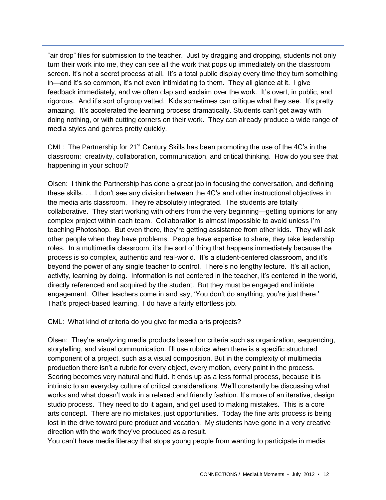"air drop" files for submission to the teacher. Just by dragging and dropping, students not only turn their work into me, they can see all the work that pops up immediately on the classroom screen. It's not a secret process at all. It's a total public display every time they turn something in—and it's so common, it's not even intimidating to them. They all glance at it. I give feedback immediately, and we often clap and exclaim over the work. It's overt, in public, and rigorous. And it's sort of group vetted. Kids sometimes can critique what they see. It's pretty amazing. It's accelerated the learning process dramatically. Students can't get away with doing nothing, or with cutting corners on their work. They can already produce a wide range of media styles and genres pretty quickly.

CML: The Partnership for  $21<sup>st</sup>$  Century Skills has been promoting the use of the 4C's in the classroom: creativity, collaboration, communication, and critical thinking. How do you see that happening in your school?

Olsen: I think the Partnership has done a great job in focusing the conversation, and defining these skills. . . .I don't see any division between the 4C's and other instructional objectives in the media arts classroom. They're absolutely integrated. The students are totally collaborative. They start working with others from the very beginning—getting opinions for any complex project within each team. Collaboration is almost impossible to avoid unless I'm teaching Photoshop. But even there, they're getting assistance from other kids. They will ask other people when they have problems. People have expertise to share, they take leadership roles. In a multimedia classroom, it's the sort of thing that happens immediately because the process is so complex, authentic and real-world. It's a student-centered classroom, and it's beyond the power of any single teacher to control. There's no lengthy lecture. It's all action, activity, learning by doing. Information is not centered in the teacher, it's centered in the world, directly referenced and acquired by the student. But they must be engaged and initiate engagement. Other teachers come in and say, 'You don't do anything, you're just there.' That's project-based learning. I do have a fairly effortless job.

CML: What kind of criteria do you give for media arts projects?

Olsen: They're analyzing media products based on criteria such as organization, sequencing, storytelling, and visual communication. I'll use rubrics when there is a specific structured component of a project, such as a visual composition. But in the complexity of multimedia production there isn't a rubric for every object, every motion, every point in the process. Scoring becomes very natural and fluid. It ends up as a less formal process, because it is intrinsic to an everyday culture of critical considerations. We'll constantly be discussing what works and what doesn't work in a relaxed and friendly fashion. It's more of an iterative, design studio process. They need to do it again, and get used to making mistakes. This is a core arts concept. There are no mistakes, just opportunities. Today the fine arts process is being lost in the drive toward pure product and vocation. My students have gone in a very creative direction with the work they've produced as a result.

You can't have media literacy that stops young people from wanting to participate in media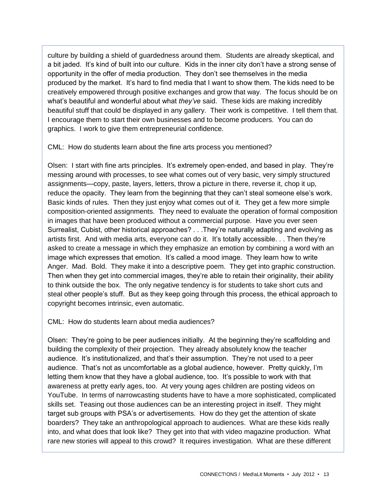culture by building a shield of guardedness around them. Students are already skeptical, and a bit jaded. It's kind of built into our culture. Kids in the inner city don't have a strong sense of opportunity in the offer of media production. They don't see themselves in the media produced by the market. It's hard to find media that I want to show them. The kids need to be creatively empowered through positive exchanges and grow that way. The focus should be on what's beautiful and wonderful about what *they've* said. These kids are making incredibly beautiful stuff that could be displayed in any gallery. Their work is competitive. I tell them that. I encourage them to start their own businesses and to become producers. You can do graphics. I work to give them entrepreneurial confidence.

CML: How do students learn about the fine arts process you mentioned?

Olsen: I start with fine arts principles. It's extremely open-ended, and based in play. They're messing around with processes, to see what comes out of very basic, very simply structured assignments—copy, paste, layers, letters, throw a picture in there, reverse it, chop it up, reduce the opacity. They learn from the beginning that they can't steal someone else's work. Basic kinds of rules. Then they just enjoy what comes out of it. They get a few more simple composition-oriented assignments. They need to evaluate the operation of formal composition in images that have been produced without a commercial purpose. Have you ever seen Surrealist, Cubist, other historical approaches? . . .They're naturally adapting and evolving as artists first. And with media arts, everyone can do it. It's totally accessible. . . Then they're asked to create a message in which they emphasize an emotion by combining a word with an image which expresses that emotion. It's called a mood image. They learn how to write Anger. Mad. Bold. They make it into a descriptive poem. They get into graphic construction. Then when they get into commercial images, they're able to retain their originality, their ability to think outside the box. The only negative tendency is for students to take short cuts and steal other people's stuff. But as they keep going through this process, the ethical approach to copyright becomes intrinsic, even automatic.

CML: How do students learn about media audiences?

Olsen: They're going to be peer audiences initially. At the beginning they're scaffolding and building the complexity of their projection. They already absolutely know the teacher audience. It's institutionalized, and that's their assumption. They're not used to a peer audience. That's not as uncomfortable as a global audience, however. Pretty quickly, I'm letting them know that they have a global audience, too. It's possible to work with that awareness at pretty early ages, too. At very young ages children are posting videos on YouTube. In terms of narrowcasting students have to have a more sophisticated, complicated skills set. Teasing out those audiences can be an interesting project in itself. They might target sub groups with PSA's or advertisements. How do they get the attention of skate boarders? They take an anthropological approach to audiences. What are these kids really into, and what does that look like? They get into that with video magazine production. What rare new stories will appeal to this crowd? It requires investigation. What are these different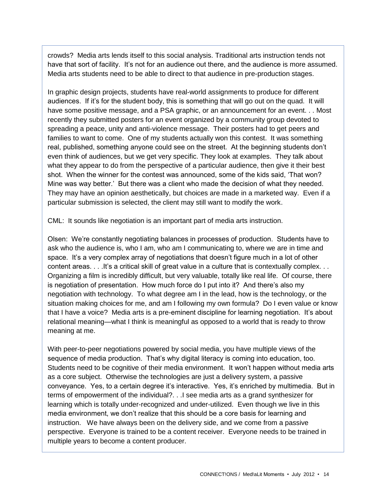crowds? Media arts lends itself to this social analysis. Traditional arts instruction tends not have that sort of facility. It's not for an audience out there, and the audience is more assumed. Media arts students need to be able to direct to that audience in pre-production stages.

In graphic design projects, students have real-world assignments to produce for different audiences. If it's for the student body, this is something that will go out on the quad. It will have some positive message, and a PSA graphic, or an announcement for an event. . . Most recently they submitted posters for an event organized by a community group devoted to spreading a peace, unity and anti-violence message. Their posters had to get peers and families to want to come. One of my students actually won this contest. It was something real, published, something anyone could see on the street. At the beginning students don't even think of audiences, but we get very specific. They look at examples. They talk about what they appear to do from the perspective of a particular audience, then give it their best shot. When the winner for the contest was announced, some of the kids said, 'That won? Mine was way better.' But there was a client who made the decision of what they needed. They may have an opinion aesthetically, but choices are made in a marketed way. Even if a particular submission is selected, the client may still want to modify the work.

CML: It sounds like negotiation is an important part of media arts instruction.

Olsen: We're constantly negotiating balances in processes of production. Students have to ask who the audience is, who I am, who am I communicating to, where we are in time and space. It's a very complex array of negotiations that doesn't figure much in a lot of other content areas. . . .It's a critical skill of great value in a culture that is contextually complex. . . Organizing a film is incredibly difficult, but very valuable, totally like real life. Of course, there is negotiation of presentation. How much force do I put into it? And there's also my negotiation with technology. To what degree am I in the lead, how is the technology, or the situation making choices for me, and am I following my own formula? Do I even value or know that I have a voice? Media arts is a pre-eminent discipline for learning negotiation. It's about relational meaning—what I think is meaningful as opposed to a world that is ready to throw meaning at me.

With peer-to-peer negotiations powered by social media, you have multiple views of the sequence of media production. That's why digital literacy is coming into education, too. Students need to be cognitive of their media environment. It won't happen without media arts as a core subject. Otherwise the technologies are just a delivery system, a passive conveyance. Yes, to a certain degree it's interactive. Yes, it's enriched by multimedia. But in terms of empowerment of the individual?. . .I see media arts as a grand synthesizer for learning which is totally under-recognized and under-utilized. Even though we live in this media environment, we don't realize that this should be a core basis for learning and instruction. We have always been on the delivery side, and we come from a passive perspective. Everyone is trained to be a content receiver. Everyone needs to be trained in multiple years to become a content producer.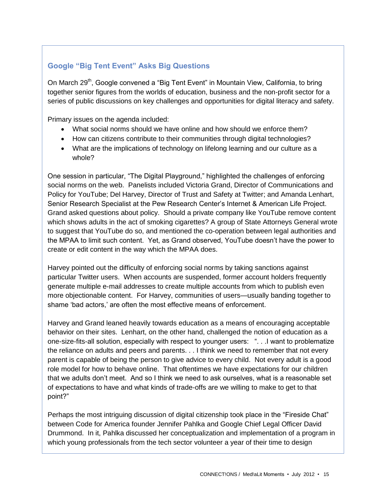## **Google "Big Tent Event" Asks Big Questions**

On March 29<sup>th</sup>, Google convened a "Big Tent Event" in Mountain View, California, to bring together senior figures from the worlds of education, business and the non-profit sector for a series of public discussions on key challenges and opportunities for digital literacy and safety.

Primary issues on the agenda included:

- What social norms should we have online and how should we enforce them?
- How can citizens contribute to their communities through digital technologies?
- What are the implications of technology on lifelong learning and our culture as a whole?

One session in particular, "The Digital Playground," highlighted the challenges of enforcing social norms on the web. Panelists included Victoria Grand, Director of Communications and Policy for YouTube; Del Harvey, Director of Trust and Safety at Twitter; and Amanda Lenhart, Senior Research Specialist at the Pew Research Center's Internet & American Life Project. Grand asked questions about policy. Should a private company like YouTube remove content which shows adults in the act of smoking cigarettes? A group of State Attorneys General wrote to suggest that YouTube do so, and mentioned the co-operation between legal authorities and the MPAA to limit such content. Yet, as Grand observed, YouTube doesn't have the power to create or edit content in the way which the MPAA does.

Harvey pointed out the difficulty of enforcing social norms by taking sanctions against particular Twitter users. When accounts are suspended, former account holders frequently generate multiple e-mail addresses to create multiple accounts from which to publish even more objectionable content. For Harvey, communities of users—usually banding together to shame 'bad actors,' are often the most effective means of enforcement.

Harvey and Grand leaned heavily towards education as a means of encouraging acceptable behavior on their sites. Lenhart, on the other hand, challenged the notion of education as a one-size-fits-all solution, especially with respect to younger users: ". . .I want to problematize the reliance on adults and peers and parents. . . I think we need to remember that not every parent is capable of being the person to give advice to every child. Not every adult is a good role model for how to behave online. That oftentimes we have expectations for our children that we adults don't meet. And so I think we need to ask ourselves, what is a reasonable set of expectations to have and what kinds of trade-offs are we willing to make to get to that point?"

Perhaps the most intriguing discussion of digital citizenship took place in the "Fireside Chat" between Code for America founder Jennifer Pahlka and Google Chief Legal Officer David Drummond. In it, Pahlka discussed her conceptualization and implementation of a program in which young professionals from the tech sector volunteer a year of their time to design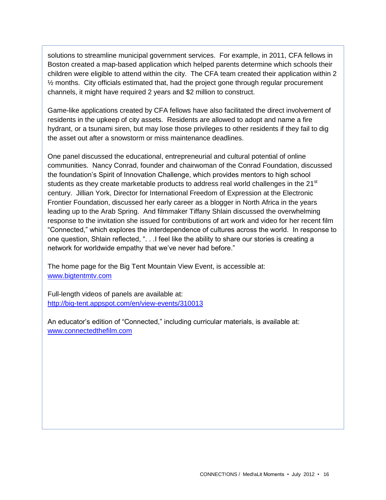solutions to streamline municipal government services. For example, in 2011, CFA fellows in Boston created a map-based application which helped parents determine which schools their children were eligible to attend within the city. The CFA team created their application within 2 ½ months. City officials estimated that, had the project gone through regular procurement channels, it might have required 2 years and \$2 million to construct.

Game-like applications created by CFA fellows have also facilitated the direct involvement of residents in the upkeep of city assets. Residents are allowed to adopt and name a fire hydrant, or a tsunami siren, but may lose those privileges to other residents if they fail to dig the asset out after a snowstorm or miss maintenance deadlines.

One panel discussed the educational, entrepreneurial and cultural potential of online communities. Nancy Conrad, founder and chairwoman of the Conrad Foundation, discussed the foundation's Spirit of Innovation Challenge, which provides mentors to high school students as they create marketable products to address real world challenges in the 21<sup>st</sup> century. Jillian York, Director for International Freedom of Expression at the Electronic Frontier Foundation, discussed her early career as a blogger in North Africa in the years leading up to the Arab Spring. And filmmaker Tiffany Shlain discussed the overwhelming response to the invitation she issued for contributions of art work and video for her recent film "Connected," which explores the interdependence of cultures across the world. In response to one question, Shlain reflected, ". . .I feel like the ability to share our stories is creating a network for worldwide empathy that we've never had before."

The home page for the Big Tent Mountain View Event, is accessible at: [www.bigtentmtv.com](http://www.bigtentmtv.com/)

Full-length videos of panels are available at: <http://big-tent.appspot.com/en/view-events/310013>

An educator's edition of "Connected," including curricular materials, is available at: [www.connectedthefilm.com](http://www.connectedthefilm.com/)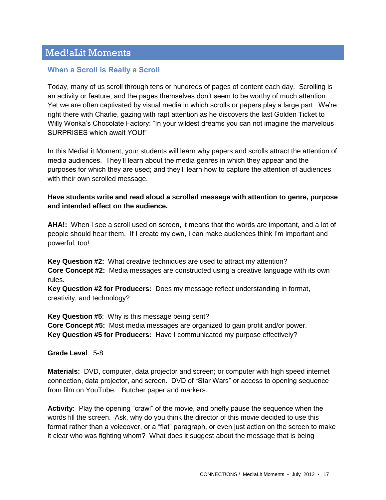# Med!aLit Moments

### **When a Scroll is Really a Scroll**

Today, many of us scroll through tens or hundreds of pages of content each day. Scrolling is an activity or feature, and the pages themselves don't seem to be worthy of much attention. Yet we are often captivated by visual media in which scrolls or papers play a large part. We're right there with Charlie, gazing with rapt attention as he discovers the last Golden Ticket to Willy Wonka's Chocolate Factory: "In your wildest dreams you can not imagine the marvelous SURPRISES which await YOU!"

In this MediaLit Moment, your students will learn why papers and scrolls attract the attention of media audiences. They'll learn about the media genres in which they appear and the purposes for which they are used; and they'll learn how to capture the attention of audiences with their own scrolled message.

#### **Have students write and read aloud a scrolled message with attention to genre, purpose and intended effect on the audience.**

**AHA!:** When I see a scroll used on screen, it means that the words are important, and a lot of people should hear them. If I create my own, I can make audiences think I'm important and powerful, too!

**Key Question #2:** What creative techniques are used to attract my attention? **Core Concept #2:** Media messages are constructed using a creative language with its own rules.

**Key Question #2 for Producers:** Does my message reflect understanding in format, creativity, and technology?

**Key Question #5**: Why is this message being sent? **Core Concept #5:** Most media messages are organized to gain profit and/or power. **Key Question #5 for Producers:** Have I communicated my purpose effectively?

#### **Grade Level**: 5-8

**Materials:** DVD, computer, data projector and screen; or computer with high speed internet connection, data projector, and screen. DVD of "Star Wars" or access to opening sequence from film on YouTube. Butcher paper and markers.

**Activity:** Play the opening "crawl" of the movie, and briefly pause the sequence when the words fill the screen. Ask, why do you think the director of this movie decided to use this format rather than a voiceover, or a "flat" paragraph, or even just action on the screen to make it clear who was fighting whom? What does it suggest about the message that is being